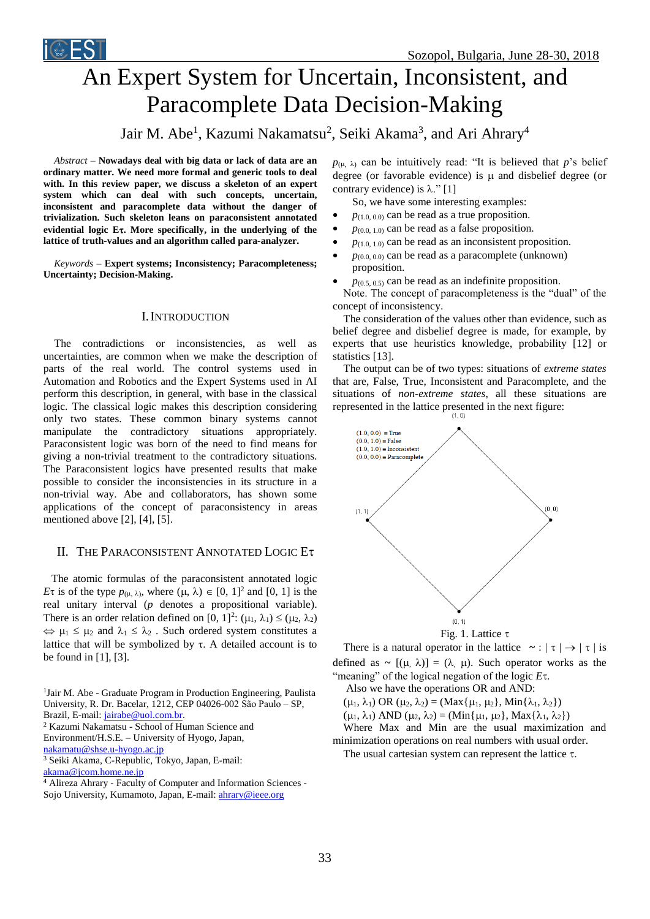

# An Expert System for Uncertain, Inconsistent, and Paracomplete Data Decision-Making

# Jair M. Abe<sup>1</sup>, Kazumi Nakamatsu<sup>2</sup>, Seiki Akama<sup>3</sup>, and Ari Ahrary<sup>4</sup>

*Abstract –* **Nowadays deal with big data or lack of data are an ordinary matter. We need more formal and generic tools to deal with. In this review paper, we discuss a skeleton of an expert system which can deal with such concepts, uncertain, inconsistent and paracomplete data without the danger of trivialization. Such skeleton leans on paraconsistent annotated evidential logic E. More specifically, in the underlying of the lattice of truth-values and an algorithm called para-analyzer.**

*Keywords –* **Expert systems; Inconsistency; Paracompleteness; Uncertainty; Decision-Making.**

## I.INTRODUCTION

The contradictions or inconsistencies, as well as uncertainties, are common when we make the description of parts of the real world. The control systems used in Automation and Robotics and the Expert Systems used in AI perform this description, in general, with base in the classical logic. The classical logic makes this description considering only two states. These common binary systems cannot manipulate the contradictory situations appropriately. Paraconsistent logic was born of the need to find means for giving a non-trivial treatment to the contradictory situations. The Paraconsistent logics have presented results that make possible to consider the inconsistencies in its structure in a non-trivial way. Abe and collaborators, has shown some applications of the concept of paraconsistency in areas mentioned above [2], [4], [5].

### II. THE PARACONSISTENT ANNOTATED LOGIC E

 The atomic formulas of the paraconsistent annotated logic *E* $\tau$  is of the type  $p_{(\mu, \lambda)}$ , where  $(\mu, \lambda) \in [0, 1]^2$  and [0, 1] is the real unitary interval (*p* denotes a propositional variable). There is an order relation defined on [0, 1]<sup>2</sup>: ( $\mu_1$ ,  $\lambda_1$ )  $\leq$  ( $\mu_2$ ,  $\lambda_2$ )  $\Leftrightarrow \mu_1 \leq \mu_2$  and  $\lambda_1 \leq \lambda_2$ . Such ordered system constitutes a lattice that will be symbolized by  $\tau$ . A detailed account is to be found in [1], [3].

<sup>1</sup>Jair M. Abe - Graduate Program in Production Engineering, Paulista University, R. Dr. Bacelar, 1212, CEP 04026-002 São Paulo – SP,

Brazil, E-mail[: jairabe@uol.com.br.](mailto:jairabe@uol.com.br)

<sup>2</sup> Kazumi Nakamatsu - School of Human Science and

Environment/H.S.E. – University of Hyogo, Japan,

[nakamatu@shse.u-hyogo.ac.jp](mailto:nakamatu@shse.u-hyogo.ac.jp)

<sup>3</sup> Seiki Akama, C-Republic, Tokyo, Japan, E-mail:

[akama@jcom.home.ne.jp](mailto:akama@jcom.home.ne.jp)

 $p_{(u, \lambda)}$  can be intuitively read: "It is believed that *p*'s belief degree (or favorable evidence) is  $\mu$  and disbelief degree (or contrary evidence) is  $\lambda$ ." [1]

So, we have some interesting examples:

- $p_{(1,0,0,0)}$  can be read as a true proposition.
- $p_{(0.0, 1.0)}$  can be read as a false proposition.
- $p_{(1,0, 1,0)}$  can be read as an inconsistent proposition.
- $p_{(0,0,0,0)}$  can be read as a paracomplete (unknown) proposition.
- $p_{(0.5, 0.5)}$  can be read as an indefinite proposition.

Note. The concept of paracompleteness is the "dual" of the concept of inconsistency.

The consideration of the values other than evidence, such as belief degree and disbelief degree is made, for example, by experts that use heuristics knowledge, probability [12] or statistics [13].

The output can be of two types: situations of *extreme states* that are, False, True, Inconsistent and Paracomplete, and the situations of *non-extreme states*, all these situations are represented in the lattice presented in the next figure:



There is a natural operator in the lattice  $\sim$  :  $|\tau| \rightarrow |\tau|$  is defined as  $\sim$   $[(\mu, \lambda)] = (\lambda, \mu)$ . Such operator works as the "meaning" of the logical negation of the logic  $E\tau$ .

Also we have the operations OR and AND:

 $(\mu_1, \lambda_1)$  OR  $(\mu_2, \lambda_2)$  = (Max $\{\mu_1, \mu_2\}$ , Min $\{\lambda_1, \lambda_2\}$ )

 $(\mu_1, \lambda_1)$  AND  $(\mu_2, \lambda_2)$  = (Min{ $\mu_1, \mu_2$ }, Max{ $\lambda_1, \lambda_2$ })

Where Max and Min are the usual maximization and minimization operations on real numbers with usual order.

The usual cartesian system can represent the lattice  $\tau$ .

<sup>4</sup> Alireza Ahrary - Faculty of Computer and Information Sciences - Sojo University, Kumamoto, Japan, E-mail: *ahrary@ieee.org*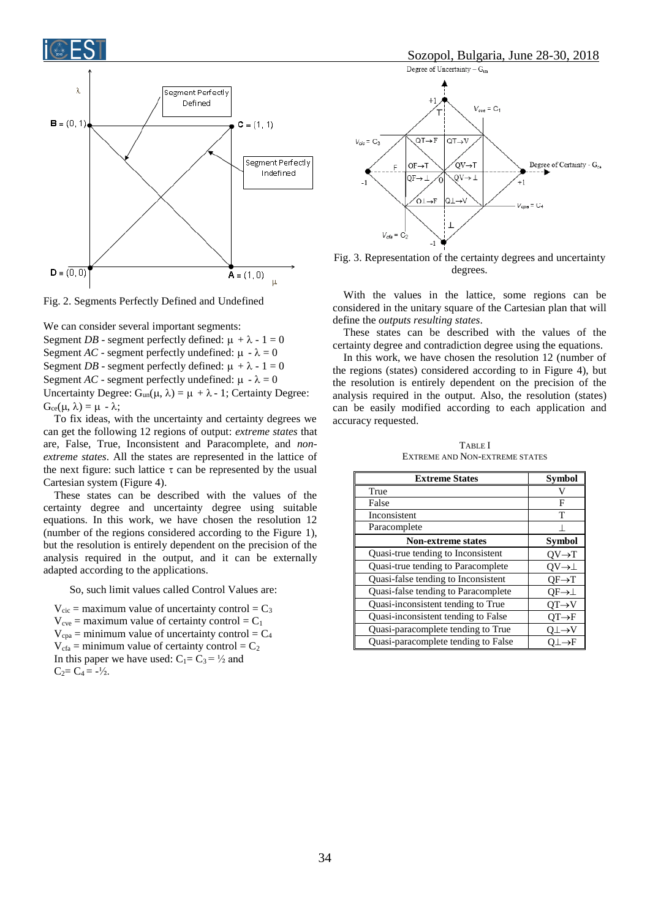



Fig. 2. Segments Perfectly Defined and Undefined

We can consider several important segments: Segment *DB* - segment perfectly defined:  $\mu + \lambda - 1 = 0$ Segment *AC* - segment perfectly undefined:  $\mu - \lambda = 0$ Segment *DB* - segment perfectly defined:  $\mu + \lambda - 1 = 0$ Segment *AC* - segment perfectly undefined:  $\mu - \lambda = 0$ Uncertainty Degree:  $G_{un}(\mu, \lambda) = \mu + \lambda - 1$ ; Certainty Degree:  $G_{ce}(\mu, \lambda) = \mu - \lambda$ ;

To fix ideas, with the uncertainty and certainty degrees we can get the following 12 regions of output: *extreme states* that are, False, True, Inconsistent and Paracomplete, and *nonextreme states*. All the states are represented in the lattice of the next figure: such lattice  $\tau$  can be represented by the usual Cartesian system (Figure 4).

These states can be described with the values of the certainty degree and uncertainty degree using suitable equations. In this work, we have chosen the resolution 12 (number of the regions considered according to the Figure 1), but the resolution is entirely dependent on the precision of the analysis required in the output, and it can be externally adapted according to the applications.

So, such limit values called Control Values are:

 $V_{\text{circ}}$  = maximum value of uncertainty control =  $C_3$  $V_{\text{cve}}$  = maximum value of certainty control =  $C_1$  $V_{\text{cpa}}$  = minimum value of uncertainty control =  $C_4$  $V_{\text{cfa}}$  = minimum value of certainty control =  $C_2$ In this paper we have used:  $C_1 = C_3 = \frac{1}{2}$  and  $C_2 = C_4 = -\frac{1}{2}$ .



Fig. 3. Representation of the certainty degrees and uncertainty degrees.

With the values in the lattice, some regions can be considered in the unitary square of the Cartesian plan that will define the *outputs resulting states*.

These states can be described with the values of the certainty degree and contradiction degree using the equations.

In this work, we have chosen the resolution 12 (number of the regions (states) considered according to in Figure 4), but the resolution is entirely dependent on the precision of the analysis required in the output. Also, the resolution (states) can be easily modified according to each application and accuracy requested.

TABLE I EXTREME AND NON-EXTREME STATES

| <b>Extreme States</b>               | Symbol                  |
|-------------------------------------|-------------------------|
| True                                |                         |
| False                               | F                       |
| Inconsistent                        | т                       |
| Paracomplete                        |                         |
| <b>Non-extreme states</b>           | <b>Symbol</b>           |
| Quasi-true tending to Inconsistent  | $OV \rightarrow T$      |
| Quasi-true tending to Paracomplete  | $O V \rightarrow \perp$ |
| Quasi-false tending to Inconsistent | $QF \rightarrow T$      |
| Quasi-false tending to Paracomplete | $OF\rightarrow \perp$   |
| Quasi-inconsistent tending to True  | $OT\rightarrow V$       |
| Quasi-inconsistent tending to False | $OT\rightarrow F$       |
| Quasi-paracomplete tending to True  | O⊥→V                    |
| Quasi-paracomplete tending to False | .→F                     |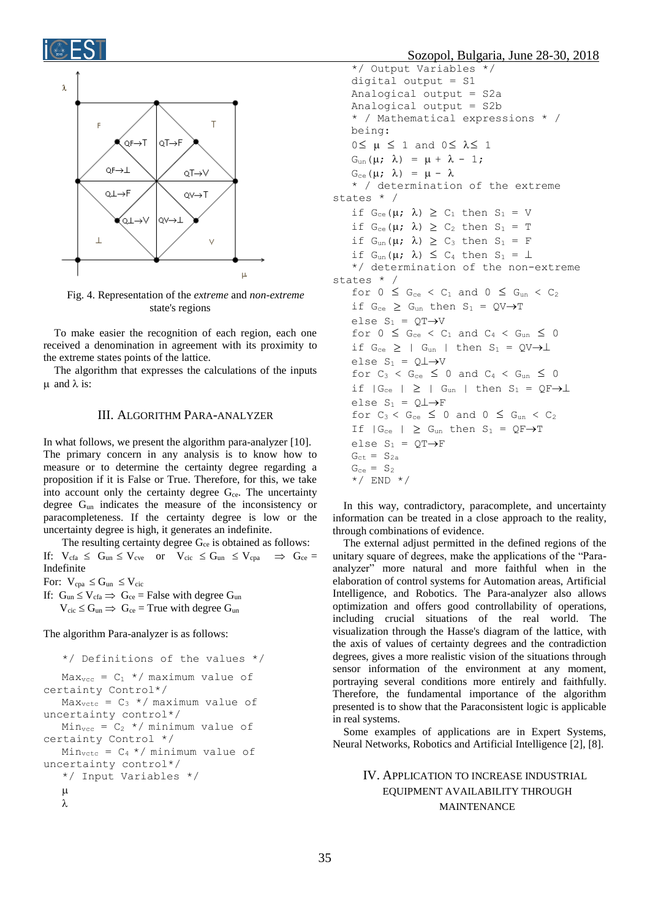

Fig. 4. Representation of the *extreme* and *non-extreme* state's regions

To make easier the recognition of each region, each one received a denomination in agreement with its proximity to the extreme states points of the lattice.

The algorithm that expresses the calculations of the inputs  $\mu$  and  $\lambda$  is:

### III. ALGORITHM PARA-ANALYZER

In what follows, we present the algorithm para-analyzer [10]. The primary concern in any analysis is to know how to measure or to determine the certainty degree regarding a proposition if it is False or True. Therefore, for this, we take into account only the certainty degree  $G_{ce}$ . The uncertainty degree Gun indicates the measure of the inconsistency or paracompleteness. If the certainty degree is low or the uncertainty degree is high, it generates an indefinite.

The resulting certainty degree  $G_{ce}$  is obtained as follows: If:  $V_{cfa} \le G_{un} \le V_{cve}$  or  $V_{cic} \le G_{un} \le V_{cpa} \Rightarrow G_{ce} =$ Indefinite

For:  $V_{cpa} \leq G_{un} \leq V_{circ}$ 

If:  $G_{un} \le V_{cfa} \Rightarrow G_{ce}$  = False with degree  $G_{un}$  $V_{\text{circ}} \le G_{\text{un}} \implies G_{\text{ce}} = \text{True with degree } G_{\text{un}}$ 

The algorithm Para-analyzer is as follows:

```
*/ Definitions of the values */ 
   Max_{\text{vcc}} = C_1 */ maximum value of
certainty Control*/ 
   Max_{\text{vctc}} = C_3 */ maximum value of
uncertainty control*/ 
   Min_{\text{vcc}} = C_2 */ minimum value of
certainty Control */ 
   Min_{\text{vctc}} = C_4 \times / \text{minimum value of}uncertainty control*/
   */ Input Variables */
   \muλ
```
Sozopol, Bulgaria, June 28-30, 2018

```
*/ Output Variables */
    digital output = S1 
    Analogical output = S2a 
    Analogical output = S2b 
    * / Mathematical expressions * / 
    being:
    0 \leq \mu \leq 1 and 0 \leq \lambda \leq 1G_{un}(\mu; \lambda) = \mu + \lambda - 1;G_{ce}(\mu; \lambda) = \mu - \lambda* / determination of the extreme 
states * /
    if G_{ce}(\mu; \lambda) \geq C_1 then S_1 = Vif G_{ce}(\mu; \lambda) \geq C_2 then S_1 = Tif G_{un}(\mu; \lambda) \geq C_3 then S_1 = Fif G_{un}(\mu; \lambda) \leq C_4 then S_1 = \perp*/ determination of the non-extreme 
states * /
    for 0 \le G_{ce} < C_1 and 0 \le G_{un} < C_2if G_{ce} \geq G_{un} then S_1 = QV \rightarrow Telse S_1 = \overline{OT} \rightarrow Vfor 0 \leq G_{ce} < C_1 and C_4 < G_{un} \leq 0if G_{ce} \geq | G_{un} | then S_1 = QV \rightarrow \perpelse S_1 = 0 \perp \rightarrow Vfor C_3 < G_{ce} \leq 0 and C_4 < G_{un} \leq 0if |G_{ce}| \ge |G_{un}| then S_1 = QF \rightarrow \perpelse S_1 = Q \perp \rightarrow Ffor C_3 < G_{ce} \leq 0 and 0 \leq G_{un} < C_2If |G_{ce}| \geq G_{un} then S_1 = QF \rightarrow Telse S_1 = QT \rightarrow FG_{\text{ct}} = S_{2a}G_{ce} = S_2*/ END */
```
In this way, contradictory, paracomplete, and uncertainty information can be treated in a close approach to the reality, through combinations of evidence.

The external adjust permitted in the defined regions of the unitary square of degrees, make the applications of the "Paraanalyzer" more natural and more faithful when in the elaboration of control systems for Automation areas, Artificial Intelligence, and Robotics. The Para-analyzer also allows optimization and offers good controllability of operations, including crucial situations of the real world. The visualization through the Hasse's diagram of the lattice, with the axis of values of certainty degrees and the contradiction degrees, gives a more realistic vision of the situations through sensor information of the environment at any moment, portraying several conditions more entirely and faithfully. Therefore, the fundamental importance of the algorithm presented is to show that the Paraconsistent logic is applicable in real systems.

Some examples of applications are in Expert Systems, Neural Networks, Robotics and Artificial Intelligence [2], [8].

# IV. APPLICATION TO INCREASE INDUSTRIAL EQUIPMENT AVAILABILITY THROUGH MAINTENANCE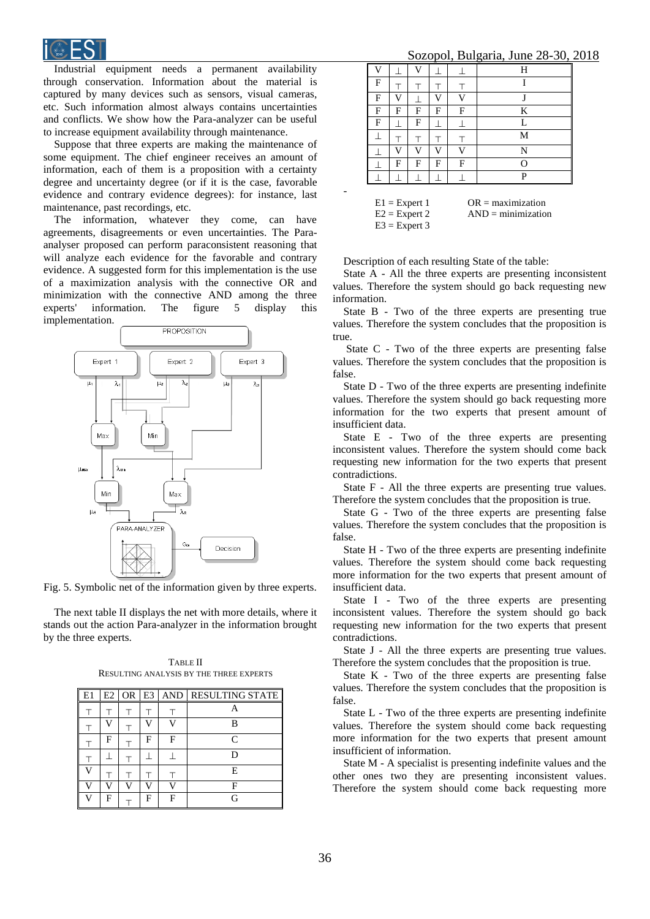

Industrial equipment needs a permanent availability through conservation. Information about the material is captured by many devices such as sensors, visual cameras, etc. Such information almost always contains uncertainties and conflicts. We show how the Para-analyzer can be useful to increase equipment availability through maintenance.

Suppose that three experts are making the maintenance of some equipment. The chief engineer receives an amount of information, each of them is a proposition with a certainty degree and uncertainty degree (or if it is the case, favorable evidence and contrary evidence degrees): for instance, last maintenance, past recordings, etc.

The information, whatever they come, can have agreements, disagreements or even uncertainties. The Paraanalyser proposed can perform paraconsistent reasoning that will analyze each evidence for the favorable and contrary evidence. A suggested form for this implementation is the use of a maximization analysis with the connective OR and minimization with the connective AND among the three experts' information. The figure 5 display this implementation.



Fig. 5. Symbolic net of the information given by three experts.

The next table II displays the net with more details, where it stands out the action Para-analyzer in the information brought by the three experts.

| E1 | E2 | OR E3 |   |   | AND RESULTING STATE |
|----|----|-------|---|---|---------------------|
|    |    |       |   |   |                     |
|    |    |       |   |   | R                   |
|    | F  |       | F | F | $\subset$           |
|    |    |       |   |   |                     |
|    |    |       |   |   | E                   |
|    |    |       |   |   |                     |
| V  | F  |       | F | F | G                   |

TABLE II RESULTING ANALYSIS BY THE THREE EXPERTS

Sozopol, Bulgaria, June 28-30, 2018

| ~~~~<br>$\ddotsc$<br>٣ |   |              |   |                |   |
|------------------------|---|--------------|---|----------------|---|
| $\overline{V}$         |   | $\mathbf{V}$ |   |                | Н |
| F                      |   |              |   |                | T |
| F                      | v |              | V | $\overline{V}$ | T |
| F                      | F | F            | F | F              | K |
| $\mathbf F$            |   | F            |   |                | L |
|                        |   |              |   |                | M |
|                        | v | V            | V | V              | N |
|                        | F | F            | F | F              | O |
|                        |   |              |   |                | P |
|                        |   |              |   |                |   |

| $E1 =$ Expert 1 | $OR = maximumization$  |
|-----------------|------------------------|
| $E2 =$ Expert 2 | $AND = minimumization$ |
| $E3 =$ Expert 3 |                        |

Description of each resulting State of the table:

-

State A - All the three experts are presenting inconsistent values. Therefore the system should go back requesting new information.

State B - Two of the three experts are presenting true values. Therefore the system concludes that the proposition is true.

State C - Two of the three experts are presenting false values. Therefore the system concludes that the proposition is false.

State D - Two of the three experts are presenting indefinite values. Therefore the system should go back requesting more information for the two experts that present amount of insufficient data.

State E - Two of the three experts are presenting inconsistent values. Therefore the system should come back requesting new information for the two experts that present contradictions.

State F - All the three experts are presenting true values. Therefore the system concludes that the proposition is true.

State G - Two of the three experts are presenting false values. Therefore the system concludes that the proposition is false.

State H - Two of the three experts are presenting indefinite values. Therefore the system should come back requesting more information for the two experts that present amount of insufficient data.

State I - Two of the three experts are presenting inconsistent values. Therefore the system should go back requesting new information for the two experts that present contradictions.

State J - All the three experts are presenting true values. Therefore the system concludes that the proposition is true.

State K - Two of the three experts are presenting false values. Therefore the system concludes that the proposition is false.

State L - Two of the three experts are presenting indefinite values. Therefore the system should come back requesting more information for the two experts that present amount insufficient of information.

State M - A specialist is presenting indefinite values and the other ones two they are presenting inconsistent values. Therefore the system should come back requesting more